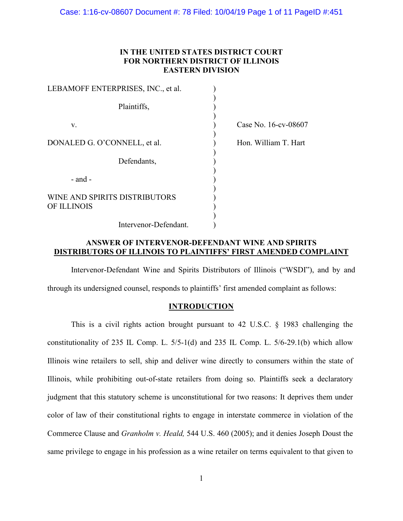## **IN THE UNITED STATES DISTRICT COURT FOR NORTHERN DISTRICT OF ILLINOIS EASTERN DIVISION**

| LEBAMOFF ENTERPRISES, INC., et al.           |                      |
|----------------------------------------------|----------------------|
| Plaintiffs,                                  |                      |
| V.                                           | Case No. 16-cv-08607 |
| DONALED G. O'CONNELL, et al.                 | Hon. William T. Hart |
| Defendants,                                  |                      |
| $-$ and $-$                                  |                      |
| WINE AND SPIRITS DISTRIBUTORS<br>OF ILLINOIS |                      |
| Intervenor-Defendant.                        |                      |

## **ANSWER OF INTERVENOR-DEFENDANT WINE AND SPIRITS DISTRIBUTORS OF ILLINOIS TO PLAINTIFFS' FIRST AMENDED COMPLAINT**

Intervenor-Defendant Wine and Spirits Distributors of Illinois ("WSDI"), and by and through its undersigned counsel, responds to plaintiffs' first amended complaint as follows:

## **INTRODUCTION**

This is a civil rights action brought pursuant to 42 U.S.C. § 1983 challenging the constitutionality of 235 IL Comp. L. 5/5-1(d) and 235 IL Comp. L. 5/6-29.1(b) which allow Illinois wine retailers to sell, ship and deliver wine directly to consumers within the state of Illinois, while prohibiting out-of-state retailers from doing so. Plaintiffs seek a declaratory judgment that this statutory scheme is unconstitutional for two reasons: It deprives them under color of law of their constitutional rights to engage in interstate commerce in violation of the Commerce Clause and *Granholm v. Heald,* 544 U.S. 460 (2005); and it denies Joseph Doust the same privilege to engage in his profession as a wine retailer on terms equivalent to that given to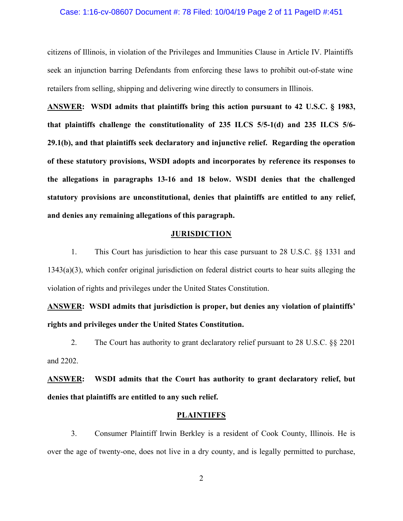#### Case: 1:16-cv-08607 Document #: 78 Filed: 10/04/19 Page 2 of 11 PageID #:451

citizens of Illinois, in violation of the Privileges and Immunities Clause in Article IV. Plaintiffs seek an injunction barring Defendants from enforcing these laws to prohibit out-of-state wine retailers from selling, shipping and delivering wine directly to consumers in Illinois.

**ANSWER: WSDI admits that plaintiffs bring this action pursuant to 42 U.S.C. § 1983, that plaintiffs challenge the constitutionality of 235 ILCS 5/5-1(d) and 235 ILCS 5/6- 29.1(b), and that plaintiffs seek declaratory and injunctive relief. Regarding the operation of these statutory provisions, WSDI adopts and incorporates by reference its responses to the allegations in paragraphs 13-16 and 18 below. WSDI denies that the challenged statutory provisions are unconstitutional, denies that plaintiffs are entitled to any relief, and denies any remaining allegations of this paragraph.**

#### **JURISDICTION**

1. This Court has jurisdiction to hear this case pursuant to 28 U.S.C. §§ 1331 and 1343(a)(3), which confer original jurisdiction on federal district courts to hear suits alleging the violation of rights and privileges under the United States Constitution.

**ANSWER: WSDI admits that jurisdiction is proper, but denies any violation of plaintiffs' rights and privileges under the United States Constitution.**

2. The Court has authority to grant declaratory relief pursuant to 28 U.S.C. §§ 2201 and 2202.

**ANSWER: WSDI admits that the Court has authority to grant declaratory relief, but denies that plaintiffs are entitled to any such relief.**

#### **PLAINTIFFS**

3. Consumer Plaintiff Irwin Berkley is a resident of Cook County, Illinois. He is over the age of twenty-one, does not live in a dry county, and is legally permitted to purchase,

2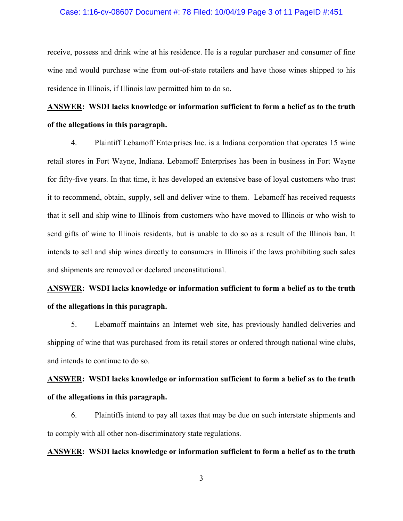#### Case: 1:16-cv-08607 Document #: 78 Filed: 10/04/19 Page 3 of 11 PageID #:451

receive, possess and drink wine at his residence. He is a regular purchaser and consumer of fine wine and would purchase wine from out-of-state retailers and have those wines shipped to his residence in Illinois, if Illinois law permitted him to do so.

# **ANSWER: WSDI lacks knowledge or information sufficient to form a belief as to the truth of the allegations in this paragraph.**

4. Plaintiff Lebamoff Enterprises Inc. is a Indiana corporation that operates 15 wine retail stores in Fort Wayne, Indiana. Lebamoff Enterprises has been in business in Fort Wayne for fifty-five years. In that time, it has developed an extensive base of loyal customers who trust it to recommend, obtain, supply, sell and deliver wine to them. Lebamoff has received requests that it sell and ship wine to Illinois from customers who have moved to Illinois or who wish to send gifts of wine to Illinois residents, but is unable to do so as a result of the Illinois ban. It intends to sell and ship wines directly to consumers in Illinois if the laws prohibiting such sales and shipments are removed or declared unconstitutional.

# **ANSWER: WSDI lacks knowledge or information sufficient to form a belief as to the truth of the allegations in this paragraph.**

5. Lebamoff maintains an Internet web site, has previously handled deliveries and shipping of wine that was purchased from its retail stores or ordered through national wine clubs, and intends to continue to do so.

# **ANSWER: WSDI lacks knowledge or information sufficient to form a belief as to the truth of the allegations in this paragraph.**

6. Plaintiffs intend to pay all taxes that may be due on such interstate shipments and to comply with all other non-discriminatory state regulations.

### **ANSWER: WSDI lacks knowledge or information sufficient to form a belief as to the truth**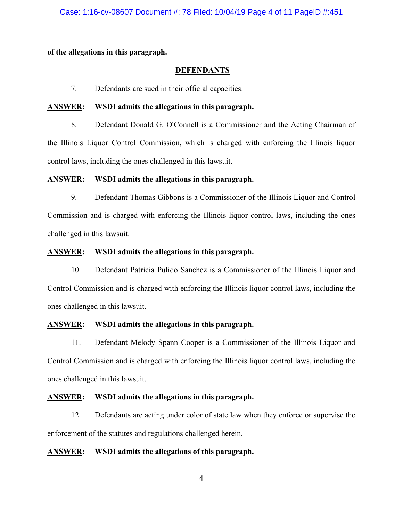**of the allegations in this paragraph.** 

### **DEFENDANTS**

7. Defendants are sued in their official capacities.

### **ANSWER: WSDI admits the allegations in this paragraph.**

8. Defendant Donald G. O'Connell is a Commissioner and the Acting Chairman of the Illinois Liquor Control Commission, which is charged with enforcing the Illinois liquor control laws, including the ones challenged in this lawsuit.

### **ANSWER: WSDI admits the allegations in this paragraph.**

9. Defendant Thomas Gibbons is a Commissioner of the Illinois Liquor and Control Commission and is charged with enforcing the Illinois liquor control laws, including the ones challenged in this lawsuit.

### **ANSWER: WSDI admits the allegations in this paragraph.**

10. Defendant Patricia Pulido Sanchez is a Commissioner of the Illinois Liquor and Control Commission and is charged with enforcing the Illinois liquor control laws, including the ones challenged in this lawsuit.

### **ANSWER: WSDI admits the allegations in this paragraph.**

11. Defendant Melody Spann Cooper is a Commissioner of the Illinois Liquor and Control Commission and is charged with enforcing the Illinois liquor control laws, including the ones challenged in this lawsuit.

### **ANSWER: WSDI admits the allegations in this paragraph.**

12. Defendants are acting under color of state law when they enforce or supervise the enforcement of the statutes and regulations challenged herein.

## **ANSWER: WSDI admits the allegations of this paragraph.**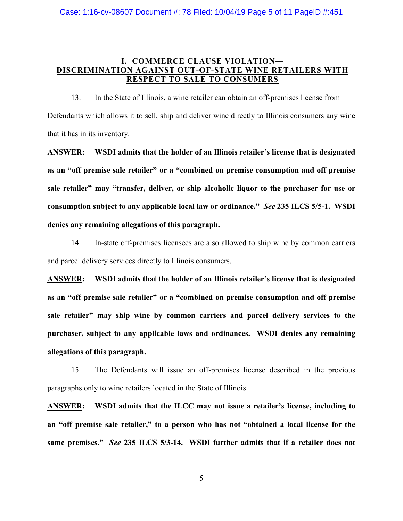## **I. COMMERCE CLAUSE VIOLATION— DISCRIMINATION AGAINST OUT-OF-STATE WINE RETAILERS WITH RESPECT TO SALE TO CONSUMERS**

13. In the State of Illinois, a wine retailer can obtain an off-premises license from Defendants which allows it to sell, ship and deliver wine directly to Illinois consumers any wine that it has in its inventory.

**ANSWER: WSDI admits that the holder of an Illinois retailer's license that is designated as an "off premise sale retailer" or a "combined on premise consumption and off premise sale retailer" may "transfer, deliver, or ship alcoholic liquor to the purchaser for use or consumption subject to any applicable local law or ordinance."** *See* **235 ILCS 5/5-1. WSDI denies any remaining allegations of this paragraph.**

14. In-state off-premises licensees are also allowed to ship wine by common carriers and parcel delivery services directly to Illinois consumers.

**ANSWER: WSDI admits that the holder of an Illinois retailer's license that is designated as an "off premise sale retailer" or a "combined on premise consumption and off premise sale retailer" may ship wine by common carriers and parcel delivery services to the purchaser, subject to any applicable laws and ordinances. WSDI denies any remaining allegations of this paragraph.** 

15. The Defendants will issue an off-premises license described in the previous paragraphs only to wine retailers located in the State of Illinois.

**ANSWER: WSDI admits that the ILCC may not issue a retailer's license, including to an "off premise sale retailer," to a person who has not "obtained a local license for the same premises."** *See* **235 ILCS 5/3-14. WSDI further admits that if a retailer does not**

5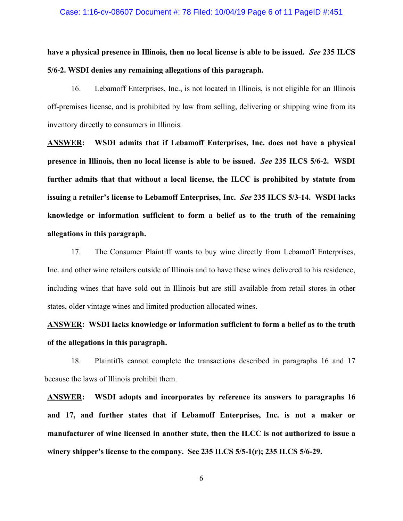#### Case: 1:16-cv-08607 Document #: 78 Filed: 10/04/19 Page 6 of 11 PageID #:451

**have a physical presence in Illinois, then no local license is able to be issued.** *See* **235 ILCS 5/6-2. WSDI denies any remaining allegations of this paragraph.** 

16. Lebamoff Enterprises, Inc., is not located in Illinois, is not eligible for an Illinois off-premises license, and is prohibited by law from selling, delivering or shipping wine from its inventory directly to consumers in Illinois.

**ANSWER: WSDI admits that if Lebamoff Enterprises, Inc. does not have a physical presence in Illinois, then no local license is able to be issued.** *See* **235 ILCS 5/6-2. WSDI further admits that that without a local license, the ILCC is prohibited by statute from issuing a retailer's license to Lebamoff Enterprises, Inc.** *See* **235 ILCS 5/3-14. WSDI lacks knowledge or information sufficient to form a belief as to the truth of the remaining allegations in this paragraph.** 

17. The Consumer Plaintiff wants to buy wine directly from Lebamoff Enterprises, Inc. and other wine retailers outside of Illinois and to have these wines delivered to his residence, including wines that have sold out in Illinois but are still available from retail stores in other states, older vintage wines and limited production allocated wines.

**ANSWER: WSDI lacks knowledge or information sufficient to form a belief as to the truth of the allegations in this paragraph.** 

18. Plaintiffs cannot complete the transactions described in paragraphs 16 and 17 because the laws of Illinois prohibit them.

**ANSWER: WSDI adopts and incorporates by reference its answers to paragraphs 16 and 17, and further states that if Lebamoff Enterprises, Inc. is not a maker or manufacturer of wine licensed in another state, then the ILCC is not authorized to issue a winery shipper's license to the company. See 235 ILCS 5/5-1(r); 235 ILCS 5/6-29.**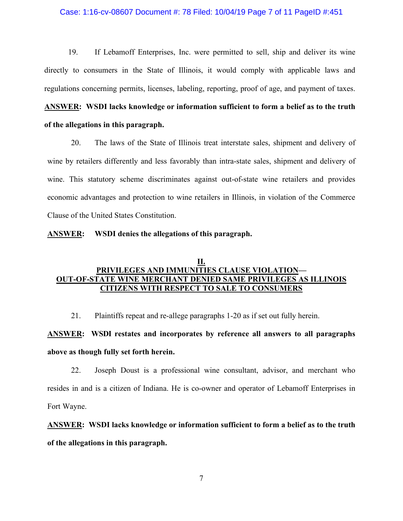#### Case: 1:16-cv-08607 Document #: 78 Filed: 10/04/19 Page 7 of 11 PageID #:451

19. If Lebamoff Enterprises, Inc. were permitted to sell, ship and deliver its wine directly to consumers in the State of Illinois, it would comply with applicable laws and regulations concerning permits, licenses, labeling, reporting, proof of age, and payment of taxes.

# **ANSWER: WSDI lacks knowledge or information sufficient to form a belief as to the truth of the allegations in this paragraph.**

20. The laws of the State of Illinois treat interstate sales, shipment and delivery of wine by retailers differently and less favorably than intra-state sales, shipment and delivery of wine. This statutory scheme discriminates against out-of-state wine retailers and provides economic advantages and protection to wine retailers in Illinois, in violation of the Commerce Clause of the United States Constitution.

#### **ANSWER: WSDI denies the allegations of this paragraph.**

## **II. PRIVILEGES AND IMMUNITIES CLAUSE VIOLATION— OUT-OF-STATE WINE MERCHANT DENIED SAME PRIVILEGES AS ILLINOIS CITIZENS WITH RESPECT TO SALE TO CONSUMERS**

21. Plaintiffs repeat and re-allege paragraphs 1-20 as if set out fully herein.

# **ANSWER: WSDI restates and incorporates by reference all answers to all paragraphs above as though fully set forth herein.**

22. Joseph Doust is a professional wine consultant, advisor, and merchant who resides in and is a citizen of Indiana. He is co-owner and operator of Lebamoff Enterprises in Fort Wayne.

# **ANSWER: WSDI lacks knowledge or information sufficient to form a belief as to the truth of the allegations in this paragraph.**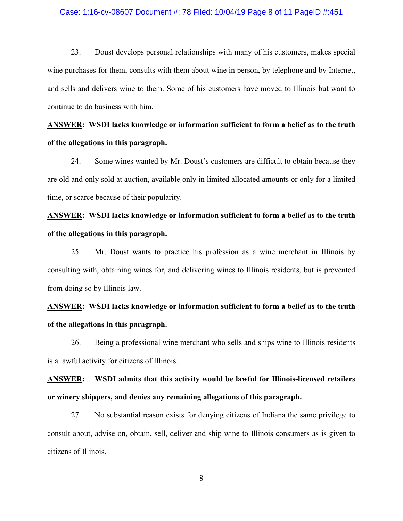#### Case: 1:16-cv-08607 Document #: 78 Filed: 10/04/19 Page 8 of 11 PageID #:451

23. Doust develops personal relationships with many of his customers, makes special wine purchases for them, consults with them about wine in person, by telephone and by Internet, and sells and delivers wine to them. Some of his customers have moved to Illinois but want to continue to do business with him.

# **ANSWER: WSDI lacks knowledge or information sufficient to form a belief as to the truth of the allegations in this paragraph.**

24. Some wines wanted by Mr. Doust's customers are difficult to obtain because they are old and only sold at auction, available only in limited allocated amounts or only for a limited time, or scarce because of their popularity.

# **ANSWER: WSDI lacks knowledge or information sufficient to form a belief as to the truth of the allegations in this paragraph.**

25. Mr. Doust wants to practice his profession as a wine merchant in Illinois by consulting with, obtaining wines for, and delivering wines to Illinois residents, but is prevented from doing so by Illinois law.

# **ANSWER: WSDI lacks knowledge or information sufficient to form a belief as to the truth of the allegations in this paragraph.**

26. Being a professional wine merchant who sells and ships wine to Illinois residents is a lawful activity for citizens of Illinois.

# **ANSWER: WSDI admits that this activity would be lawful for Illinois-licensed retailers or winery shippers, and denies any remaining allegations of this paragraph.**

27. No substantial reason exists for denying citizens of Indiana the same privilege to consult about, advise on, obtain, sell, deliver and ship wine to Illinois consumers as is given to citizens of Illinois.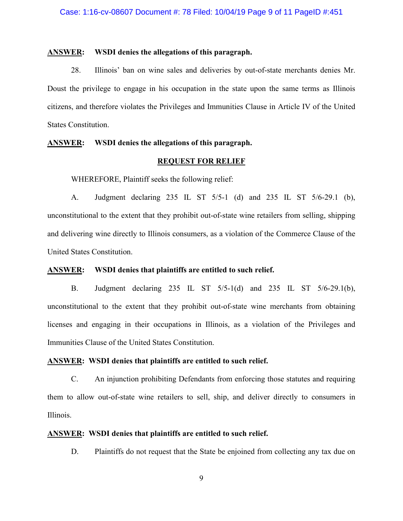#### **ANSWER: WSDI denies the allegations of this paragraph.**

28. Illinois' ban on wine sales and deliveries by out-of-state merchants denies Mr. Doust the privilege to engage in his occupation in the state upon the same terms as Illinois citizens, and therefore violates the Privileges and Immunities Clause in Article IV of the United States Constitution.

### **ANSWER: WSDI denies the allegations of this paragraph.**

#### **REQUEST FOR RELIEF**

WHEREFORE, Plaintiff seeks the following relief:

A. Judgment declaring 235 IL ST 5/5-1 (d) and 235 IL ST 5/6-29.1 (b), unconstitutional to the extent that they prohibit out-of-state wine retailers from selling, shipping and delivering wine directly to Illinois consumers, as a violation of the Commerce Clause of the United States Constitution.

#### **ANSWER: WSDI denies that plaintiffs are entitled to such relief.**

B. Judgment declaring 235 IL ST 5/5-1(d) and 235 IL ST 5/6-29.1(b), unconstitutional to the extent that they prohibit out-of-state wine merchants from obtaining licenses and engaging in their occupations in Illinois, as a violation of the Privileges and Immunities Clause of the United States Constitution.

#### **ANSWER: WSDI denies that plaintiffs are entitled to such relief.**

C. An injunction prohibiting Defendants from enforcing those statutes and requiring them to allow out-of-state wine retailers to sell, ship, and deliver directly to consumers in Illinois.

## **ANSWER: WSDI denies that plaintiffs are entitled to such relief.**

D. Plaintiffs do not request that the State be enjoined from collecting any tax due on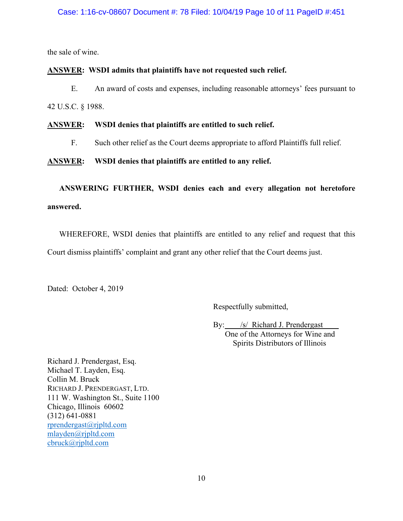### Case: 1:16-cv-08607 Document #: 78 Filed: 10/04/19 Page 10 of 11 PageID #:451

the sale of wine.

## **ANSWER: WSDI admits that plaintiffs have not requested such relief.**

E. An award of costs and expenses, including reasonable attorneys' fees pursuant to 42 U.S.C. § 1988.

### **ANSWER: WSDI denies that plaintiffs are entitled to such relief.**

F. Such other relief as the Court deems appropriate to afford Plaintiffs full relief.

**ANSWER: WSDI denies that plaintiffs are entitled to any relief.**

**ANSWERING FURTHER, WSDI denies each and every allegation not heretofore answered.**

WHEREFORE, WSDI denies that plaintiffs are entitled to any relief and request that this Court dismiss plaintiffs' complaint and grant any other relief that the Court deems just.

Dated: October 4, 2019

Respectfully submitted,

By: *\_\_ /s/* Richard J. Prendergast One of the Attorneys for Wine and Spirits Distributors of Illinois

Richard J. Prendergast, Esq. Michael T. Layden, Esq. Collin M. Bruck RICHARD J. PRENDERGAST, LTD. 111 W. Washington St., Suite 1100 Chicago, Illinois 60602 (312) 641-0881 [rprendergast@rjpltd.com](mailto:rprendergast@rjpltd.com) [mlayden@rjpltd.com](mailto:mlayden@rjpltd.com) cbruck@rjpltd.com